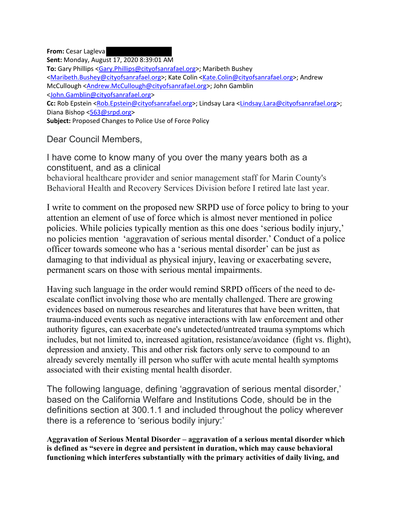**From:** Cesar Lagleva **Sent:** Monday, August 17, 2020 8:39:01 AM **To:** Gary Phillips <Gary.Phillips@cityofsanrafael.org>; Maribeth Bushey <Maribeth.Bushey@cityofsanrafael.org>; Kate Colin <Kate.Colin@cityofsanrafael.org>; Andrew McCullough <Andrew.McCullough@cityofsanrafael.org>; John Gamblin <John.Gamblin@cityofsanrafael.org> **Cc:** Rob Epstein <Rob.Epstein@cityofsanrafael.org>; Lindsay Lara <Lindsay.Lara@cityofsanrafael.org>; Diana Bishop <563@srpd.org> **Subject:** Proposed Changes to Police Use of Force Policy

Dear Council Members,

I have come to know many of you over the many years both as a constituent, and as a clinical behavioral healthcare provider and senior management staff for Marin County's Behavioral Health and Recovery Services Division before I retired late last year.

I write to comment on the proposed new SRPD use of force policy to bring to your attention an element of use of force which is almost never mentioned in police policies. While policies typically mention as this one does 'serious bodily injury,' no policies mention 'aggravation of serious mental disorder.' Conduct of a police officer towards someone who has a 'serious mental disorder' can be just as damaging to that individual as physical injury, leaving or exacerbating severe, permanent scars on those with serious mental impairments.

Having such language in the order would remind SRPD officers of the need to deescalate conflict involving those who are mentally challenged. There are growing evidences based on numerous researches and literatures that have been written, that trauma-induced events such as negative interactions with law enforcement and other authority figures, can exacerbate one's undetected/untreated trauma symptoms which includes, but not limited to, increased agitation, resistance/avoidance (fight vs. flight), depression and anxiety. This and other risk factors only serve to compound to an already severely mentally ill person who suffer with acute mental health symptoms associated with their existing mental health disorder.

The following language, defining 'aggravation of serious mental disorder,' based on the California Welfare and Institutions Code, should be in the definitions section at 300.1.1 and included throughout the policy wherever there is a reference to 'serious bodily injury:'

**Aggravation of Serious Mental Disorder – aggravation of a serious mental disorder which is defined as "severe in degree and persistent in duration, which may cause behavioral functioning which interferes substantially with the primary activities of daily living, and**